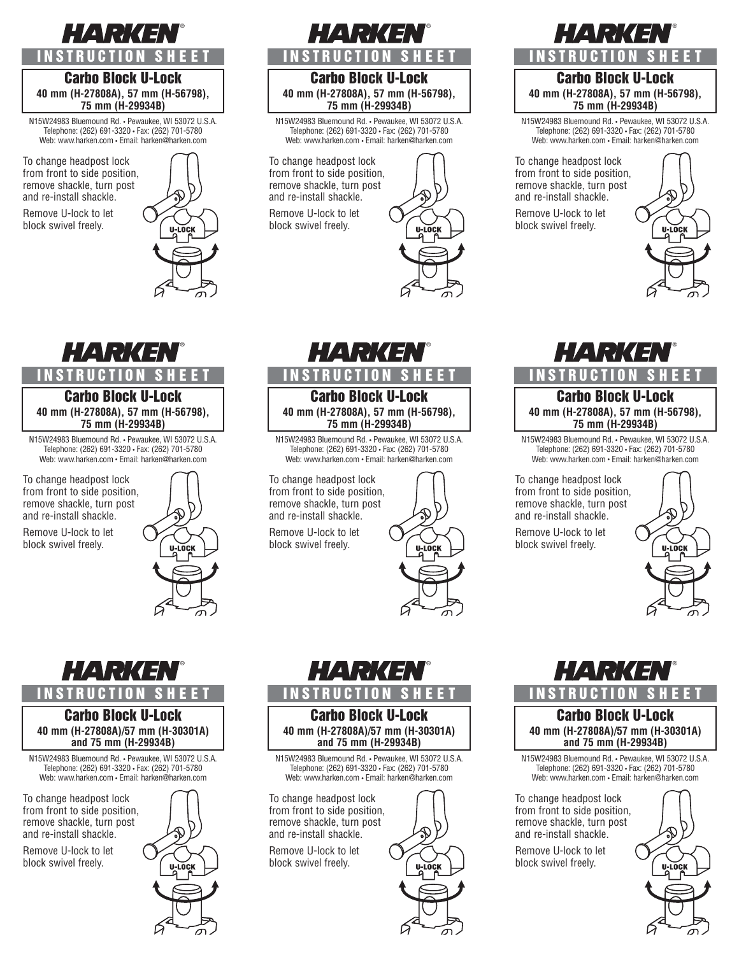## HARKEN **NSTRUCTION**

## Carbo Block U-Lock **40 mm (H-27808A), 57 mm (H-56798), 75 mm (H-29934B)**

N15W24983 Bluemound Rd. • Pewaukee, WI 53072 U.S.A. Telephone: (262) 691-3320 • Fax: (262) 701-5780 Web: www.harken.com • Email: harken@harken.com

To change headpost lock from front to side position, remove shackle, turn post and re-install shackle.

Remove U-lock to let block swivel freely.